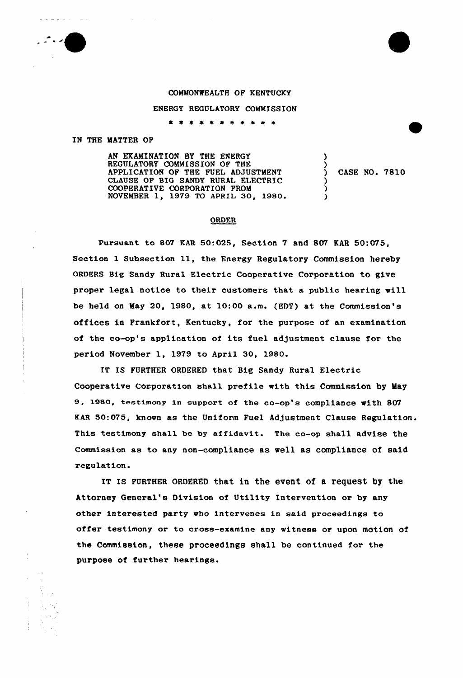## COMMONWEALTH OF KENTUCKY

## ENERGY REGULATORY COMMISSION

\* \* \* \* \* \* \* \* \* \* \*

## IN THE MATTER OF

AN EXAMINATION BY THE ENERGY REGULATORY COMMISSION OF THE APPLICATION OF THE FUEL ADJUSTMENT CLAUSE OF BIG SANDY RURAL ELECTRIC COOPERATIVE CORPORATION FROM NOVEMBER 1, 1979 TO APRIL 30, 1980.

```
) CASE NO. 7810
```
) )

) ) )

## ORDER

Pursuant to 807 KAR 50:025, Section 7 and 807 KAR 50:075, Section <sup>1</sup> Subsection ll, the Energy Regulatory Commission hereby ORDERS Big Sandy Rural Electric Cooperative Corporation to give proper legal notice to their customers that a public hearing will be held on May 20, 1980, at 10:00 a.m. (EDT) at the Commission's offices in Frankfort, Kentucky, for the purpose of an examination of the co-op's application of its fuel adjustment clause for the period November 1, 1979 to April 30, 1980.

IT IS FURTHER ORDERED that Big Sandy Rural Electric Cooperative COrporation shall prefile with this Commission by May 9, 1980, testimany in support of the co-op's compliance with 807 KAR 50:075, known as the Uniform Fuel Adjustment Clause Regulation. This testimony shall be by affidavit. The co-op shall advise the Commission as to any non-compliance as well as compliance of said regulation.

IT IS FURTHER ORDERED that in the event of a request by the Attorney General's Division of Utility Intervention or by any other interested party who intervenes in said proceedings to offer testimony or to cross-examine any witness or upon motion of the Commission, these proceedings shall be continued for the purpose of further hearings.